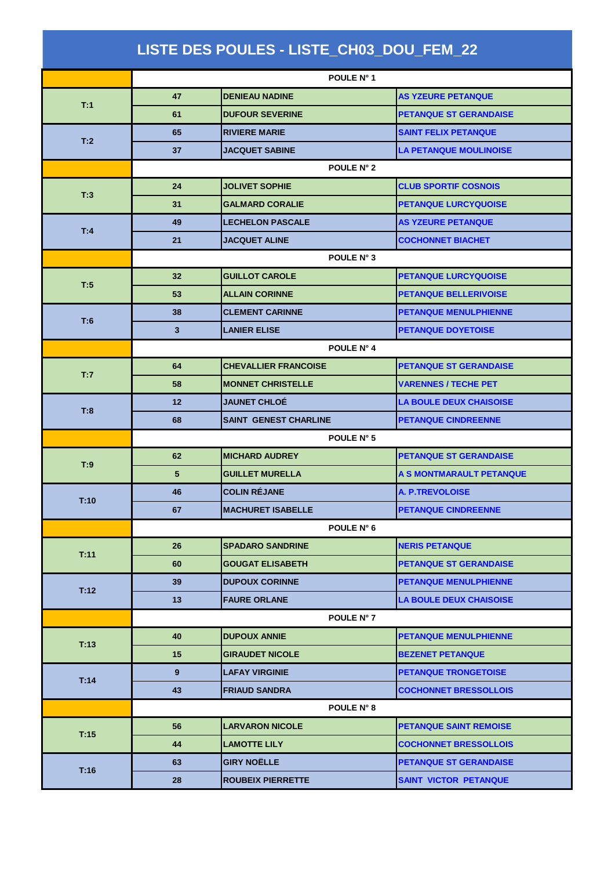| LISTE DES POULES - LISTE_CH03_DOU_FEM_22 |            |                              |                                |  |  |
|------------------------------------------|------------|------------------------------|--------------------------------|--|--|
|                                          |            | POULE N° 1                   |                                |  |  |
| T:1                                      | 47         | <b>DENIEAU NADINE</b>        | <b>AS YZEURE PETANQUE</b>      |  |  |
|                                          | 61         | <b>DUFOUR SEVERINE</b>       | <b>PETANQUE ST GERANDAISE</b>  |  |  |
| T:2                                      | 65         | <b>RIVIERE MARIE</b>         | <b>SAINT FELIX PETANQUE</b>    |  |  |
|                                          | 37         | <b>JACQUET SABINE</b>        | LA PETANQUE MOULINOISE         |  |  |
|                                          | POULE N° 2 |                              |                                |  |  |
| T:3                                      | 24         | <b>JOLIVET SOPHIE</b>        | <b>CLUB SPORTIF COSNOIS</b>    |  |  |
|                                          | 31         | <b>GALMARD CORALIE</b>       | <b>PETANQUE LURCYQUOISE</b>    |  |  |
|                                          | 49         | <b>LECHELON PASCALE</b>      | <b>AS YZEURE PETANQUE</b>      |  |  |
| T:4                                      | 21         | <b>JACQUET ALINE</b>         | <b>COCHONNET BIACHET</b>       |  |  |
|                                          | POULE N° 3 |                              |                                |  |  |
| T:5                                      | 32         | <b>GUILLOT CAROLE</b>        | <b>PETANQUE LURCYQUOISE</b>    |  |  |
|                                          | 53         | <b>ALLAIN CORINNE</b>        | <b>PETANQUE BELLERIVOISE</b>   |  |  |
| T:6                                      | 38         | <b>CLEMENT CARINNE</b>       | <b>PETANQUE MENULPHIENNE</b>   |  |  |
|                                          | 3          | <b>LANIER ELISE</b>          | <b>PETANQUE DOYETOISE</b>      |  |  |
|                                          | POULE N° 4 |                              |                                |  |  |
| T:7                                      | 64         | <b>CHEVALLIER FRANCOISE</b>  | <b>PETANQUE ST GERANDAISE</b>  |  |  |
|                                          | 58         | <b>MONNET CHRISTELLE</b>     | <b>VARENNES / TECHE PET</b>    |  |  |
| T:8                                      | 12         | <b>JAUNET CHLOÉ</b>          | <b>LA BOULE DEUX CHAISOISE</b> |  |  |
|                                          | 68         | <b>SAINT GENEST CHARLINE</b> | <b>PETANQUE CINDREENNE</b>     |  |  |
|                                          | POULE N° 5 |                              |                                |  |  |
| T:9                                      | 62         | <b>MICHARD AUDREY</b>        | <b>PETANQUE ST GERANDAISE</b>  |  |  |
|                                          | 5          | <b>GUILLET MURELLA</b>       | A S MONTMARAULT PETANQUE       |  |  |
| T:10                                     | 46         | <b>COLIN RÉJANE</b>          | <b>A. P.TREVOLOISE</b>         |  |  |
|                                          | 67         | <b>MACHURET ISABELLE</b>     | <b>PETANQUE CINDREENNE</b>     |  |  |
|                                          |            | POULE N° 6                   |                                |  |  |
| T:11                                     | 26         | <b>SPADARO SANDRINE</b>      | <b>NERIS PETANQUE</b>          |  |  |
|                                          | 60         | <b>GOUGAT ELISABETH</b>      | <b>PETANQUE ST GERANDAISE</b>  |  |  |
| T:12                                     | 39         | <b>DUPOUX CORINNE</b>        | <b>PETANQUE MENULPHIENNE</b>   |  |  |
|                                          | 13         | <b>FAURE ORLANE</b>          | <b>LA BOULE DEUX CHAISOISE</b> |  |  |
|                                          |            | POULE N° 7                   |                                |  |  |
| T:13                                     | 40         | <b>DUPOUX ANNIE</b>          | <b>PETANQUE MENULPHIENNE</b>   |  |  |
|                                          | 15         | <b>GIRAUDET NICOLE</b>       | <b>BEZENET PETANQUE</b>        |  |  |
| T:14                                     | 9          | <b>LAFAY VIRGINIE</b>        | <b>PETANQUE TRONGETOISE</b>    |  |  |
|                                          | 43         | <b>FRIAUD SANDRA</b>         | <b>COCHONNET BRESSOLLOIS</b>   |  |  |
|                                          |            | POULE N° 8                   |                                |  |  |
| T:15                                     | 56         | <b>LARVARON NICOLE</b>       | <b>PETANQUE SAINT REMOISE</b>  |  |  |
|                                          | 44         | <b>LAMOTTE LILY</b>          | <b>COCHONNET BRESSOLLOIS</b>   |  |  |
| T:16                                     | 63         | <b>GIRY NOËLLE</b>           | <b>PETANQUE ST GERANDAISE</b>  |  |  |
|                                          | 28         | <b>ROUBEIX PIERRETTE</b>     | <b>SAINT VICTOR PETANQUE</b>   |  |  |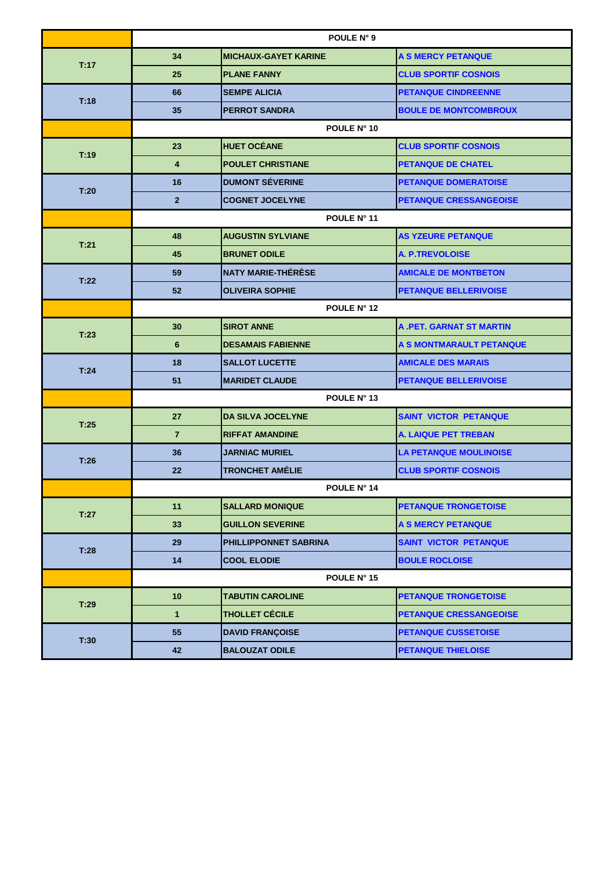|      | POULE N° 9         |                             |                                 |  |
|------|--------------------|-----------------------------|---------------------------------|--|
| T:17 | 34                 | <b>MICHAUX-GAYET KARINE</b> | A S MERCY PETANQUE              |  |
|      | 25                 | <b>PLANE FANNY</b>          | <b>CLUB SPORTIF COSNOIS</b>     |  |
| T:18 | 66                 | <b>SEMPE ALICIA</b>         | <b>PETANQUE CINDREENNE</b>      |  |
|      | 35                 | <b>PERROT SANDRA</b>        | <b>BOULE DE MONTCOMBROUX</b>    |  |
|      | POULE N° 10        |                             |                                 |  |
| T:19 | 23                 | <b>HUET OCÉANE</b>          | <b>CLUB SPORTIF COSNOIS</b>     |  |
|      | 4                  | <b>POULET CHRISTIANE</b>    | <b>PETANQUE DE CHATEL</b>       |  |
| T:20 | 16                 | <b>DUMONT SÉVERINE</b>      | <b>PETANQUE DOMERATOISE</b>     |  |
|      | $\overline{2}$     | <b>COGNET JOCELYNE</b>      | <b>PETANQUE CRESSANGEOISE</b>   |  |
|      | POULE N° 11        |                             |                                 |  |
| T:21 | 48                 | <b>AUGUSTIN SYLVIANE</b>    | <b>AS YZEURE PETANQUE</b>       |  |
|      | 45                 | <b>BRUNET ODILE</b>         | <b>A. P.TREVOLOISE</b>          |  |
| T:22 | 59                 | <b>NATY MARIE-THÉRÈSE</b>   | <b>AMICALE DE MONTBETON</b>     |  |
|      | 52                 | <b>OLIVEIRA SOPHIE</b>      | <b>PETANQUE BELLERIVOISE</b>    |  |
|      | POULE N° 12        |                             |                                 |  |
| T:23 | 30                 | <b>SIROT ANNE</b>           | <b>A .PET. GARNAT ST MARTIN</b> |  |
|      | 6                  | <b>DESAMAIS FABIENNE</b>    | A S MONTMARAULT PETANQUE        |  |
| T:24 | 18                 | <b>SALLOT LUCETTE</b>       | <b>AMICALE DES MARAIS</b>       |  |
|      | 51                 | <b>MARIDET CLAUDE</b>       | <b>PETANQUE BELLERIVOISE</b>    |  |
|      | POULE N° 13        |                             |                                 |  |
| T:25 | 27                 | <b>DA SILVA JOCELYNE</b>    | <b>SAINT VICTOR PETANQUE</b>    |  |
|      | $\overline{7}$     | <b>RIFFAT AMANDINE</b>      | <b>A. LAIQUE PET TREBAN</b>     |  |
| T:26 | 36                 | <b>JARNIAC MURIEL</b>       | <b>LA PETANQUE MOULINOISE</b>   |  |
|      | 22                 | <b>TRONCHET AMÉLIE</b>      | <b>CLUB SPORTIF COSNOIS</b>     |  |
|      | <b>POULE N° 14</b> |                             |                                 |  |
| T:27 | 11                 | <b>SALLARD MONIQUE</b>      | <b>PETANQUE TRONGETOISE</b>     |  |
|      | 33                 | <b>GUILLON SEVERINE</b>     | <b>A S MERCY PETANQUE</b>       |  |
| T:28 | 29                 | PHILLIPPONNET SABRINA       | <b>SAINT VICTOR PETANQUE</b>    |  |
|      | 14                 | <b>COOL ELODIE</b>          | <b>BOULE ROCLOISE</b>           |  |
|      |                    | POULE N° 15                 |                                 |  |
| T:29 | 10                 | <b>TABUTIN CAROLINE</b>     | PETANQUE TRONGETOISE            |  |
|      | $\mathbf{1}$       | <b>THOLLET CÉCILE</b>       | <b>PETANQUE CRESSANGEOISE</b>   |  |
| T:30 | 55                 | <b>DAVID FRANÇOISE</b>      | <b>PETANQUE CUSSETOISE</b>      |  |
|      | 42                 | <b>BALOUZAT ODILE</b>       | <b>PETANQUE THIELOISE</b>       |  |